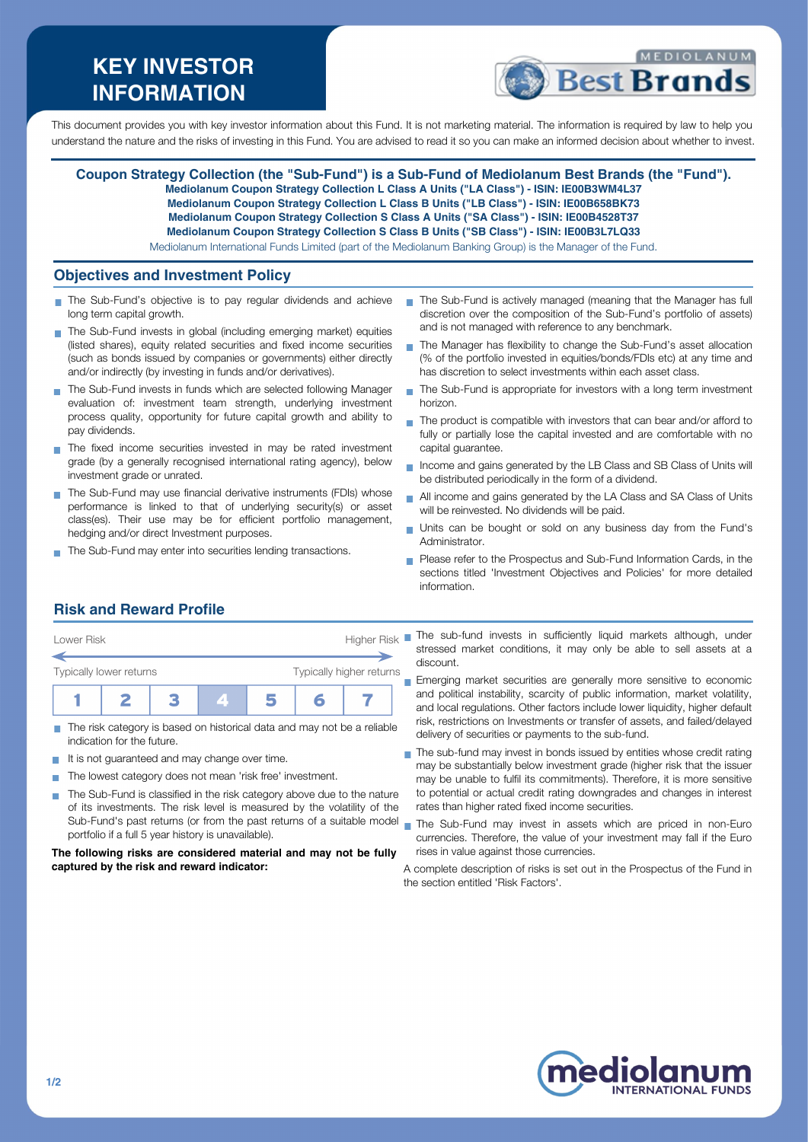# **KEY INVESTOR INFORMATION**



This document provides you with key investor information about this Fund. It is not marketing material. The information is required by law to help you understand the nature and the risks of investing in this Fund. You are advised to read it so you can make an informed decision about whether to invest.

#### **Coupon Strategy Collection (the "Sub-Fund") is a Sub-Fund of Mediolanum Best Brands (the "Fund"). Mediolanum Coupon Strategy Collection L Class A Units ("LA Class") - ISIN: IE00B3WM4L37**

**Mediolanum Coupon Strategy Collection L Class B Units ("LB Class") - ISIN: IE00B658BK73**

- **Mediolanum Coupon Strategy Collection S Class A Units ("SA Class") ISIN: IE00B4528T37**
- **Mediolanum Coupon Strategy Collection S Class B Units ("SB Class") ISIN: IE00B3L7LQ33**

Mediolanum International Funds Limited (part of the Mediolanum Banking Group) is the Manager of the Fund.

### **Objectives and Investment Policy**

- The Sub-Fund's objective is to pay regular dividends and achieve long term capital growth.
- The Sub-Fund invests in global (including emerging market) equities (listed shares), equity related securities and fixed income securities (such as bonds issued by companies or governments) either directly and/or indirectly (by investing in funds and/or derivatives).
- The Sub-Fund invests in funds which are selected following Manager evaluation of: investment team strength, underlying investment process quality, opportunity for future capital growth and ability to pay dividends.
- The fixed income securities invested in may be rated investment grade (by a generally recognised international rating agency), below investment grade or unrated.
- The Sub-Fund may use financial derivative instruments (FDIs) whose performance is linked to that of underlying security(s) or asset class(es). Their use may be for efficient portfolio management, hedging and/or direct Investment purposes.
- The Sub-Fund may enter into securities lending transactions.
- The Sub-Fund is actively managed (meaning that the Manager has full discretion over the composition of the Sub-Fund's portfolio of assets) and is not managed with reference to any benchmark.
- The Manager has flexibility to change the Sub-Fund's asset allocation (% of the portfolio invested in equities/bonds/FDIs etc) at any time and has discretion to select investments within each asset class.
- The Sub-Fund is appropriate for investors with a long term investment  $\overline{\phantom{a}}$ horizon.
- The product is compatible with investors that can bear and/or afford to fully or partially lose the capital invested and are comfortable with no capital guarantee.
- Income and gains generated by the LB Class and SB Class of Units will Ē. be distributed periodically in the form of a dividend.
- All income and gains generated by the LA Class and SA Class of Units will be reinvested. No dividends will be paid.
- Units can be bought or sold on any business day from the Fund's Administrator.
- Please refer to the Prospectus and Sub-Fund Information Cards, in the sections titled 'Investment Objectives and Policies' for more detailed information.

# **Risk and Reward Profile**



- The risk category is based on historical data and may not be a reliable m. indication for the future.
- It is not guaranteed and may change over time.  $\sim$
- The lowest category does not mean 'risk free' investment. **T**
- The Sub-Fund is classified in the risk category above due to the nature of its investments. The risk level is measured by the volatility of the Sub-Fund's past returns (or from the past returns of a suitable model portfolio if a full 5 year history is unavailable).

**The following risks are considered material and may not be fully captured by the risk and reward indicator:**

stressed market conditions, it may only be able to sell assets at a discount.

Emerging market securities are generally more sensitive to economic and political instability, scarcity of public information, market volatility, and local regulations. Other factors include lower liquidity, higher default risk, restrictions on Investments or transfer of assets, and failed/delayed delivery of securities or payments to the sub-fund.

- The sub-fund may invest in bonds issued by entities whose credit rating may be substantially below investment grade (higher risk that the issuer may be unable to fulfil its commitments). Therefore, it is more sensitive to potential or actual credit rating downgrades and changes in interest rates than higher rated fixed income securities.
- The Sub-Fund may invest in assets which are priced in non-Euro  $\blacksquare$ currencies. Therefore, the value of your investment may fall if the Euro rises in value against those currencies.
- A complete description of risks is set out in the Prospectus of the Fund in the section entitled 'Risk Factors'.